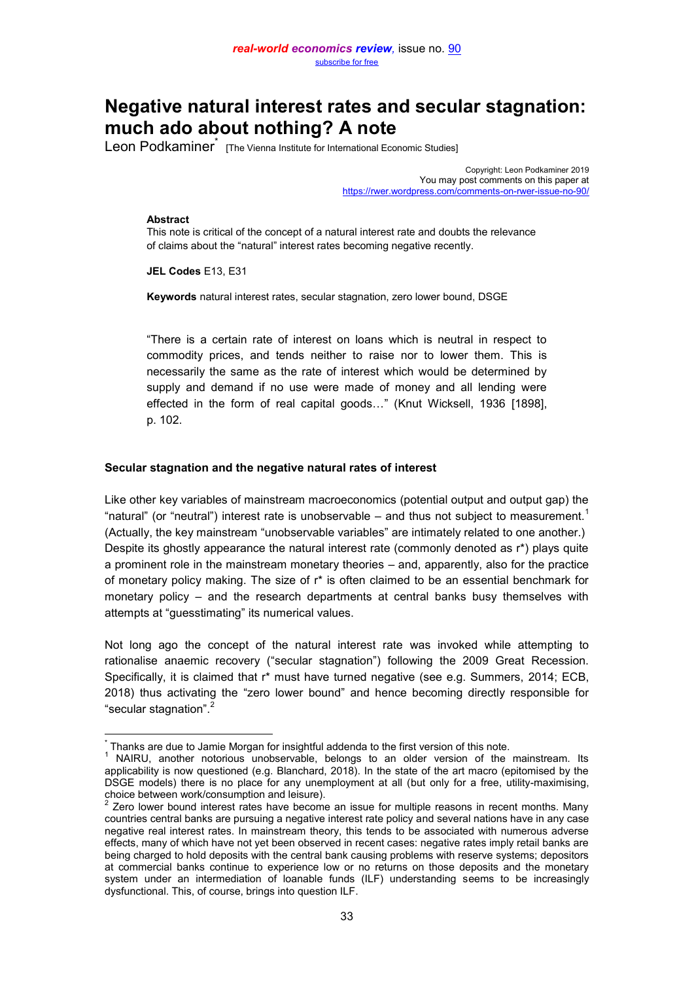# **Negative natural interest rates and secular stagnation: much ado about nothing? A note**

Leon Podkaminer<sup>\*</sup> [The Vienna Institute for International Economic Studies]

Copyright: Leon Podkaminer 2019 You may post comments on this paper at <https://rwer.wordpress.com/comments-on-rwer-issue-no-90/>

#### **Abstract**

This note is critical of the concept of a natural interest rate and doubts the relevance of claims about the "natural" interest rates becoming negative recently.

**JEL Codes** E13, E31

**Keywords** natural interest rates, secular stagnation, zero lower bound, DSGE

"There is a certain rate of interest on loans which is neutral in respect to commodity prices, and tends neither to raise nor to lower them. This is necessarily the same as the rate of interest which would be determined by supply and demand if no use were made of money and all lending were effected in the form of real capital goods…" (Knut Wicksell, 1936 [1898], p. 102.

## **Secular stagnation and the negative natural rates of interest**

Like other key variables of mainstream macroeconomics (potential output and output gap) the "natural" (or "neutral") interest rate is unobservable  $-$  and thus not subject to measurement.<sup>1</sup> (Actually, the key mainstream "unobservable variables" are intimately related to one another.) Despite its ghostly appearance the natural interest rate (commonly denoted as r\*) plays quite a prominent role in the mainstream monetary theories – and, apparently, also for the practice of monetary policy making. The size of  $r^*$  is often claimed to be an essential benchmark for monetary policy – and the research departments at central banks busy themselves with attempts at "guesstimating" its numerical values.

Not long ago the concept of the natural interest rate was invoked while attempting to rationalise anaemic recovery ("secular stagnation") following the 2009 Great Recession. Specifically, it is claimed that r\* must have turned negative (see e.g. Summers, 2014; ECB, 2018) thus activating the "zero lower bound" and hence becoming directly responsible for "secular stagnation". 2

 $\overline{a}$ \* Thanks are due to Jamie Morgan for insightful addenda to the first version of this note.

<sup>1</sup> NAIRU, another notorious unobservable, belongs to an older version of the mainstream. Its applicability is now questioned (e.g. Blanchard, 2018). In the state of the art macro (epitomised by the DSGE models) there is no place for any unemployment at all (but only for a free, utility-maximising,

choice between work/consumption and leisure).<br><sup>2</sup> Zero lower bound interest rates have become an issue for multiple reasons in recent months. Many countries central banks are pursuing a negative interest rate policy and several nations have in any case negative real interest rates. In mainstream theory, this tends to be associated with numerous adverse effects, many of which have not yet been observed in recent cases: negative rates imply retail banks are being charged to hold deposits with the central bank causing problems with reserve systems; depositors at commercial banks continue to experience low or no returns on those deposits and the monetary system under an intermediation of loanable funds (ILF) understanding seems to be increasingly dysfunctional. This, of course, brings into question ILF.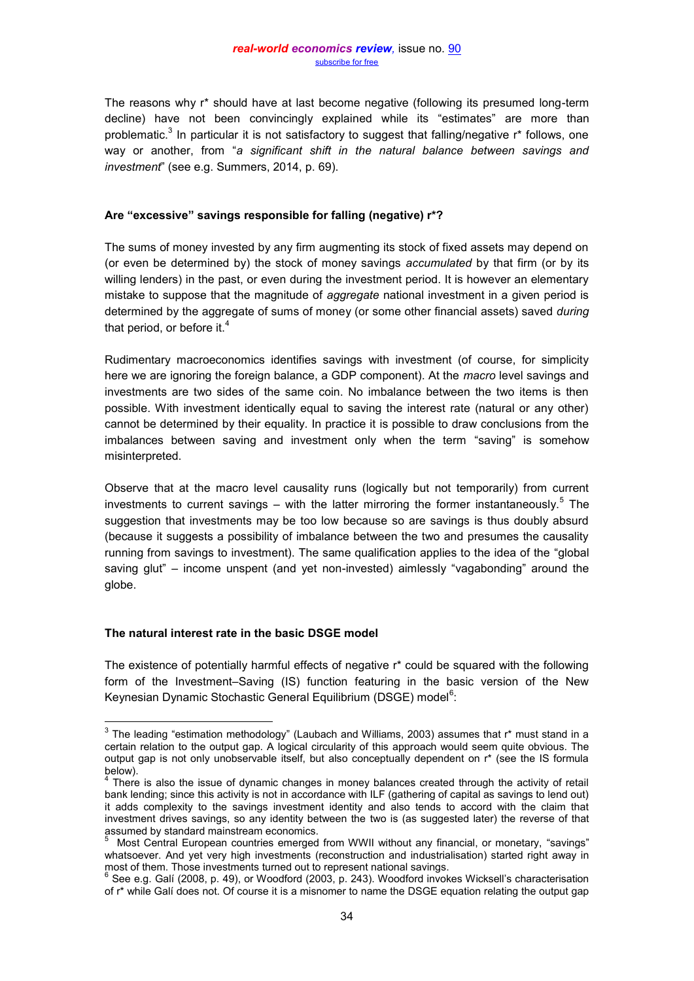#### *real-world economics review,* issue no. [90](http://www.paecon.net/PAEReview/issue90/whole90.pdf) [subscribe for free](http://www.feedblitz.com/f/f.fbz?Sub=332386)

The reasons why r\* should have at last become negative (following its presumed long-term decline) have not been convincingly explained while its "estimates" are more than problematic. $^3$  In particular it is not satisfactory to suggest that falling/negative r\* follows, one way or another, from "*a significant shift in the natural balance between savings and investment*" (see e.g. Summers, 2014, p. 69).

## **Are "excessive" savings responsible for falling (negative) r\*?**

The sums of money invested by any firm augmenting its stock of fixed assets may depend on (or even be determined by) the stock of money savings *accumulated* by that firm (or by its willing lenders) in the past, or even during the investment period. It is however an elementary mistake to suppose that the magnitude of *aggregate* national investment in a given period is determined by the aggregate of sums of money (or some other financial assets) saved *during* that period, or before it. $4$ 

Rudimentary macroeconomics identifies savings with investment (of course, for simplicity here we are ignoring the foreign balance, a GDP component). At the *macro* level savings and investments are two sides of the same coin. No imbalance between the two items is then possible. With investment identically equal to saving the interest rate (natural or any other) cannot be determined by their equality. In practice it is possible to draw conclusions from the imbalances between saving and investment only when the term "saving" is somehow misinterpreted.

Observe that at the macro level causality runs (logically but not temporarily) from current investments to current savings – with the latter mirroring the former instantaneously.<sup>5</sup> The suggestion that investments may be too low because so are savings is thus doubly absurd (because it suggests a possibility of imbalance between the two and presumes the causality running from savings to investment). The same qualification applies to the idea of the "global saving glut" – income unspent (and yet non-invested) aimlessly "vagabonding" around the globe.

# **The natural interest rate in the basic DSGE model**

The existence of potentially harmful effects of negative r\* could be squared with the following form of the Investment–Saving (IS) function featuring in the basic version of the New Keynesian Dynamic Stochastic General Equilibrium (DSGE) model<sup>6</sup>:

 3 The leading "estimation methodology" (Laubach and Williams, 2003) assumes that r\* must stand in a certain relation to the output gap. A logical circularity of this approach would seem quite obvious. The output gap is not only unobservable itself, but also conceptually dependent on r\* (see the IS formula below).<br><sup>4</sup> There is also the issue of dynamic changes in money balances created through the activity of retail

bank lending; since this activity is not in accordance with ILF (gathering of capital as savings to lend out) it adds complexity to the savings investment identity and also tends to accord with the claim that investment drives savings, so any identity between the two is (as suggested later) the reverse of that assumed by standard mainstream economics.<br><sup>5</sup> Most Central European countries emerged from WWII without any financial, or monetary, "savings"

whatsoever. And yet very high investments (reconstruction and industrialisation) started right away in most of them. Those investments turned out to represent national savings.

 $^6$  See e.g. Galí (2008, p. 49), or Woodford (2003, p. 243). Woodford invokes Wicksell's characterisation of r\* while Galí does not. Of course it is a misnomer to name the DSGE equation relating the output gap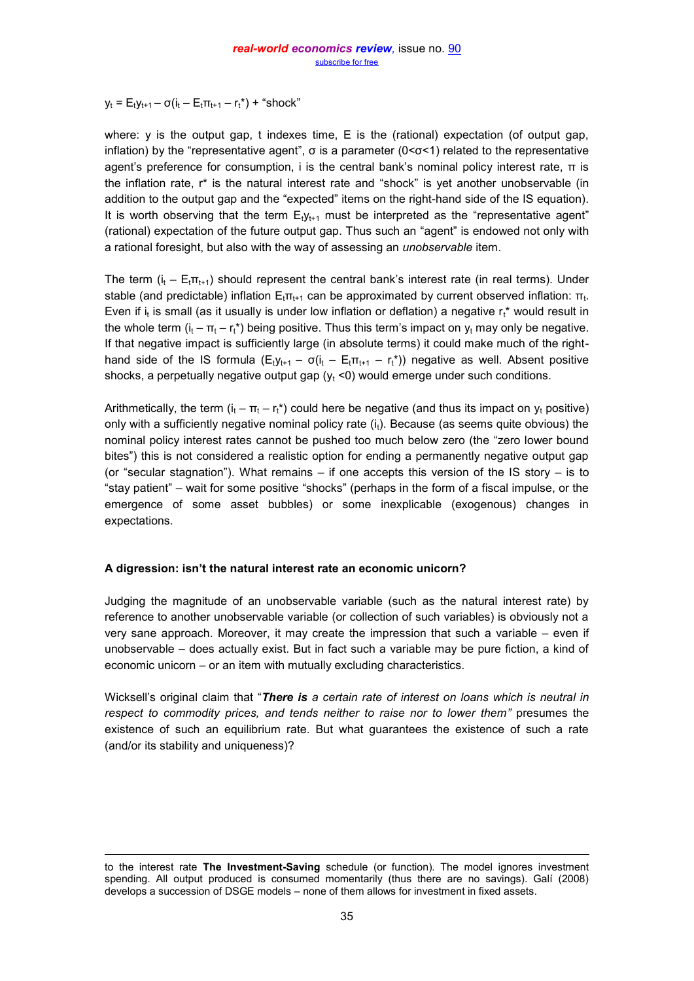$y_t = E_t y_{t+1} - \sigma(i_t - E_t \pi_{t+1} - r_t^*) +$  "shock"

where:  $y$  is the output gap, t indexes time,  $E$  is the (rational) expectation (of output gap, inflation) by the "representative agent", σ is a parameter  $(0 < σ < 1)$  related to the representative agent's preference for consumption, i is the central bank's nominal policy interest rate,  $π$  is the inflation rate, r\* is the natural interest rate and "shock" is yet another unobservable (in addition to the output gap and the "expected" items on the right-hand side of the IS equation). It is worth observing that the term  $E_1y_{t+1}$  must be interpreted as the "representative agent" (rational) expectation of the future output gap. Thus such an "agent" is endowed not only with a rational foresight, but also with the way of assessing an *unobservable* item.

The term  $(i_t - E_t \pi_{t+1})$  should represent the central bank's interest rate (in real terms). Under stable (and predictable) inflation  ${\sf E}_{\sf t}$ π<sub>t+1</sub> can be approximated by current observed inflation: π<sub>t</sub>. Even if i<sub>t</sub> is small (as it usually is under low inflation or deflation) a negative r<sub>t</sub>\* would result in the whole term  $(i_t - \pi_t - r_t^*)$  being positive. Thus this term's impact on  $y_t$  may only be negative. If that negative impact is sufficiently large (in absolute terms) it could make much of the righthand side of the IS formula  $(E_t y_{t+1} - \sigma(i_t - E_t \pi_{t+1} - r_t^*))$  negative as well. Absent positive shocks, a perpetually negative output gap  $(y<sub>t</sub> < 0)$  would emerge under such conditions.

Arithmetically, the term  $(i_t - \pi_t - r_t^*)$  could here be negative (and thus its impact on  $y_t$  positive) only with a sufficiently negative nominal policy rate  $(i_t)$ . Because (as seems quite obvious) the nominal policy interest rates cannot be pushed too much below zero (the "zero lower bound bites") this is not considered a realistic option for ending a permanently negative output gap (or "secular stagnation"). What remains  $-$  if one accepts this version of the IS story  $-$  is to "stay patient" – wait for some positive "shocks" (perhaps in the form of a fiscal impulse, or the emergence of some asset bubbles) or some inexplicable (exogenous) changes in expectations.

# **A digression: isn't the natural interest rate an economic unicorn?**

 $\overline{a}$ 

Judging the magnitude of an unobservable variable (such as the natural interest rate) by reference to another unobservable variable (or collection of such variables) is obviously not a very sane approach. Moreover, it may create the impression that such a variable – even if unobservable – does actually exist. But in fact such a variable may be pure fiction, a kind of economic unicorn – or an item with mutually excluding characteristics.

Wicksell's original claim that "*There is a certain rate of interest on loans which is neutral in respect to commodity prices, and tends neither to raise nor to lower them"* presumes the existence of such an equilibrium rate. But what guarantees the existence of such a rate (and/or its stability and uniqueness)?

to the interest rate **The Investment-Saving** schedule (or function). The model ignores investment spending. All output produced is consumed momentarily (thus there are no savings). Galí (2008) develops a succession of DSGE models – none of them allows for investment in fixed assets.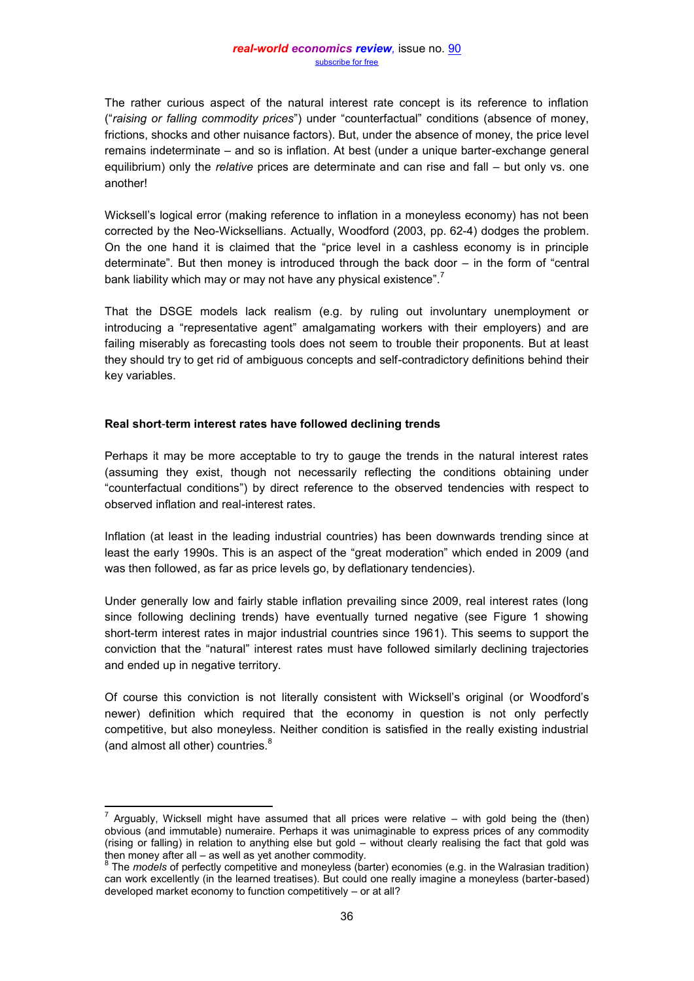The rather curious aspect of the natural interest rate concept is its reference to inflation ("*raising or falling commodity prices*") under "counterfactual" conditions (absence of money, frictions, shocks and other nuisance factors). But, under the absence of money, the price level remains indeterminate – and so is inflation. At best (under a unique barter-exchange general equilibrium) only the *relative* prices are determinate and can rise and fall – but only vs. one another!

Wicksell's logical error (making reference to inflation in a moneyless economy) has not been corrected by the Neo-Wicksellians. Actually, Woodford (2003, pp. 62-4) dodges the problem. On the one hand it is claimed that the "price level in a cashless economy is in principle determinate". But then money is introduced through the back door – in the form of "central bank liability which may or may not have any physical existence". $^7$ 

That the DSGE models lack realism (e.g. by ruling out involuntary unemployment or introducing a "representative agent" amalgamating workers with their employers) and are failing miserably as forecasting tools does not seem to trouble their proponents. But at least they should try to get rid of ambiguous concepts and self-contradictory definitions behind their key variables.

## **Real short**-**term interest rates have followed declining trends**

į

Perhaps it may be more acceptable to try to gauge the trends in the natural interest rates (assuming they exist, though not necessarily reflecting the conditions obtaining under "counterfactual conditions") by direct reference to the observed tendencies with respect to observed inflation and real-interest rates.

Inflation (at least in the leading industrial countries) has been downwards trending since at least the early 1990s. This is an aspect of the "great moderation" which ended in 2009 (and was then followed, as far as price levels go, by deflationary tendencies).

Under generally low and fairly stable inflation prevailing since 2009, real interest rates (long since following declining trends) have eventually turned negative (see Figure 1 showing short-term interest rates in major industrial countries since 1961). This seems to support the conviction that the "natural" interest rates must have followed similarly declining trajectories and ended up in negative territory.

Of course this conviction is not literally consistent with Wicksell's original (or Woodford's newer) definition which required that the economy in question is not only perfectly competitive, but also moneyless. Neither condition is satisfied in the really existing industrial (and almost all other) countries.<sup>8</sup>

<sup>7</sup> Arguably, Wicksell might have assumed that all prices were relative – with gold being the (then) obvious (and immutable) numeraire. Perhaps it was unimaginable to express prices of any commodity (rising or falling) in relation to anything else but gold – without clearly realising the fact that gold was then money after all – as well as yet another commodity.

<sup>&</sup>lt;sup>8</sup> The *models* of perfectly competitive and moneyless (barter) economies (e.g. in the Walrasian tradition) can work excellently (in the learned treatises). But could one really imagine a moneyless (barter-based) developed market economy to function competitively – or at all?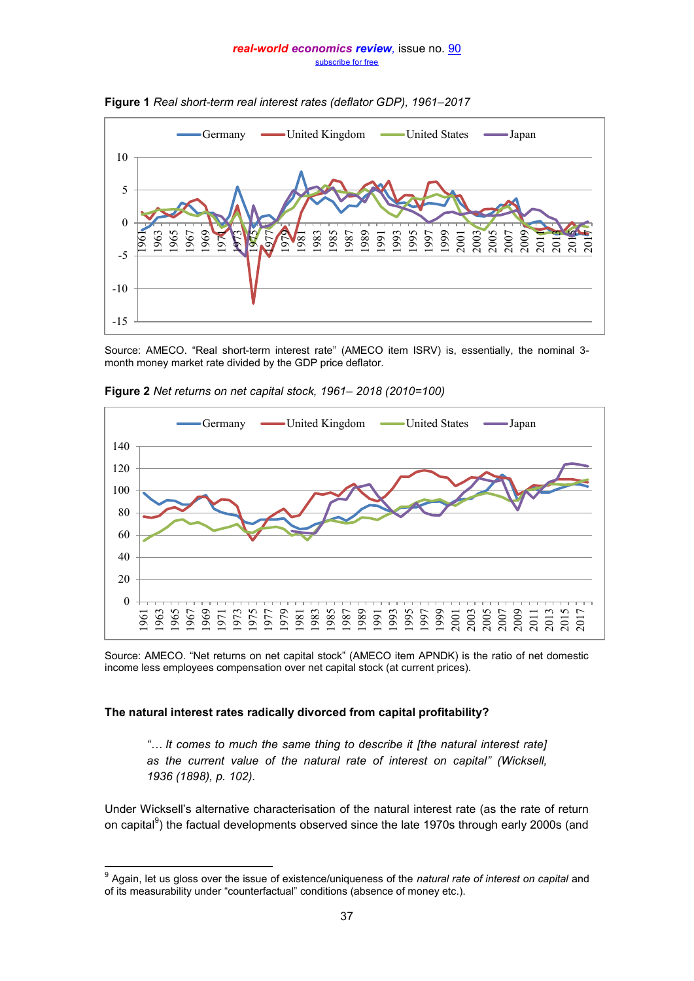#### *real-world economics review,* issue no. [90](http://www.paecon.net/PAEReview/issue90/whole90.pdf) [subscribe for free](http://www.feedblitz.com/f/f.fbz?Sub=332386)





Source: AMECO. "Real short-term interest rate" (AMECO item ISRV) is, essentially, the nominal 3 month money market rate divided by the GDP price deflator.



**Figure 2** *Net returns on net capital stock, 1961– 2018 (2010=100)*

Source: AMECO. "Net returns on net capital stock" (AMECO item APNDK) is the ratio of net domestic income less employees compensation over net capital stock (at current prices).

# **The natural interest rates radically divorced from capital profitability?**

*"… It comes to much the same thing to describe it [the natural interest rate] as the current value of the natural rate of interest on capital" (Wicksell, (1898), p. 102).* 

Under Wicksell's alternative characterisation of the natural interest rate (as the rate of return on capital<sup>9</sup>) the factual developments observed since the late 1970s through early 2000s (and

 9 Again, let us gloss over the issue of existence/uniqueness of the *natural rate of interest on capital* and of its measurability under "counterfactual" conditions (absence of money etc.).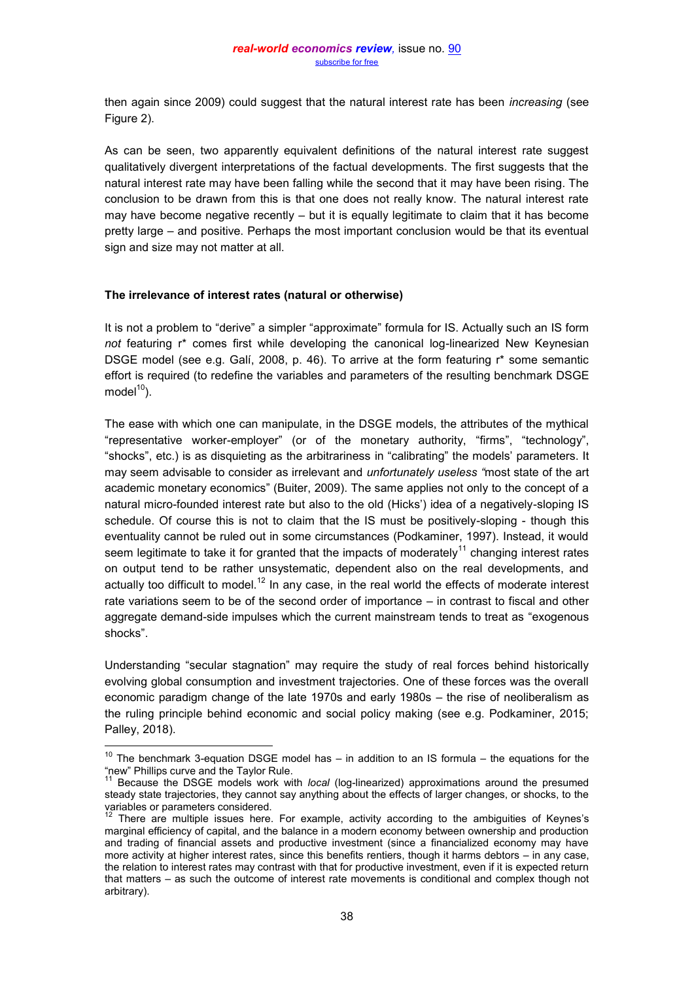then again since 2009) could suggest that the natural interest rate has been *increasing* (see Figure 2).

As can be seen, two apparently equivalent definitions of the natural interest rate suggest qualitatively divergent interpretations of the factual developments. The first suggests that the natural interest rate may have been falling while the second that it may have been rising. The conclusion to be drawn from this is that one does not really know. The natural interest rate may have become negative recently – but it is equally legitimate to claim that it has become pretty large – and positive. Perhaps the most important conclusion would be that its eventual sign and size may not matter at all.

## **The irrelevance of interest rates (natural or otherwise)**

 $\overline{a}$ 

It is not a problem to "derive" a simpler "approximate" formula for IS. Actually such an IS form *not* featuring r\* comes first while developing the canonical log-linearized New Keynesian DSGE model (see e.g. Galí, 2008, p. 46). To arrive at the form featuring r\* some semantic effort is required (to redefine the variables and parameters of the resulting benchmark DSGE model $10$ ).

The ease with which one can manipulate, in the DSGE models, the attributes of the mythical "representative worker-employer" (or of the monetary authority, "firms", "technology", "shocks", etc.) is as disquieting as the arbitrariness in "calibrating" the models' parameters. It may seem advisable to consider as irrelevant and *unfortunately useless "*most state of the art academic monetary economics" (Buiter, 2009). The same applies not only to the concept of a natural micro-founded interest rate but also to the old (Hicks') idea of a negatively-sloping IS schedule. Of course this is not to claim that the IS must be positively-sloping - though this eventuality cannot be ruled out in some circumstances (Podkaminer, 1997). Instead, it would seem legitimate to take it for granted that the impacts of moderately<sup>11</sup> changing interest rates on output tend to be rather unsystematic, dependent also on the real developments, and actually too difficult to model.<sup>12</sup> In any case, in the real world the effects of moderate interest rate variations seem to be of the second order of importance – in contrast to fiscal and other aggregate demand-side impulses which the current mainstream tends to treat as "exogenous shocks".

Understanding "secular stagnation" may require the study of real forces behind historically evolving global consumption and investment trajectories. One of these forces was the overall economic paradigm change of the late 1970s and early 1980s – the rise of neoliberalism as the ruling principle behind economic and social policy making (see e.g. Podkaminer, 2015; Palley, 2018).

 $10$  The benchmark 3-equation DSGE model has – in addition to an IS formula – the equations for the "new" Phillips curve and the Taylor Rule.

<sup>&</sup>lt;sup>11</sup> Because the DSGE models work with *local* (log-linearized) approximations around the presumed steady state trajectories, they cannot say anything about the effects of larger changes, or shocks, to the variables or parameters considered.

 $12$  There are multiple issues here. For example, activity according to the ambiguities of Keynes's marginal efficiency of capital, and the balance in a modern economy between ownership and production and trading of financial assets and productive investment (since a financialized economy may have more activity at higher interest rates, since this benefits rentiers, though it harms debtors – in any case, the relation to interest rates may contrast with that for productive investment, even if it is expected return that matters – as such the outcome of interest rate movements is conditional and complex though not arbitrary).